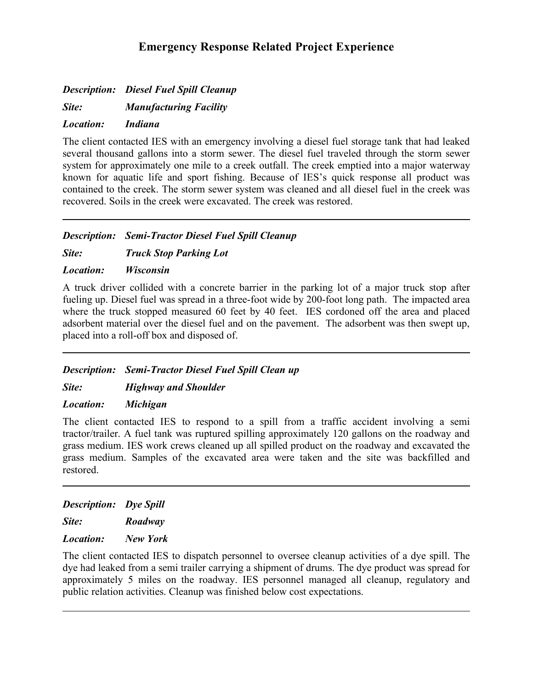# **Emergency Response Related Project Experience**

*Description: Diesel Fuel Spill Cleanup*

*Site: Manufacturing Facility*

*Location: Indiana*

The client contacted IES with an emergency involving a diesel fuel storage tank that had leaked several thousand gallons into a storm sewer. The diesel fuel traveled through the storm sewer system for approximately one mile to a creek outfall. The creek emptied into a major waterway known for aquatic life and sport fishing. Because of IES's quick response all product was contained to the creek. The storm sewer system was cleaned and all diesel fuel in the creek was recovered. Soils in the creek were excavated. The creek was restored.

*Description: Semi-Tractor Diesel Fuel Spill Cleanup*

*Site: Truck Stop Parking Lot*

*Location: Wisconsin*

A truck driver collided with a concrete barrier in the parking lot of a major truck stop after fueling up. Diesel fuel was spread in a three-foot wide by 200-foot long path. The impacted area where the truck stopped measured 60 feet by 40 feet. IES cordoned off the area and placed adsorbent material over the diesel fuel and on the pavement. The adsorbent was then swept up, placed into a roll-off box and disposed of.

### *Description: Semi-Tractor Diesel Fuel Spill Clean up*

*Site: Highway and Shoulder*

*Location: Michigan*

The client contacted IES to respond to a spill from a traffic accident involving a semi tractor/trailer. A fuel tank was ruptured spilling approximately 120 gallons on the roadway and grass medium. IES work crews cleaned up all spilled product on the roadway and excavated the grass medium. Samples of the excavated area were taken and the site was backfilled and restored.

*Description: Dye Spill*

*Site: Roadway*

*Location: New York*

The client contacted IES to dispatch personnel to oversee cleanup activities of a dye spill. The dye had leaked from a semi trailer carrying a shipment of drums. The dye product was spread for approximately 5 miles on the roadway. IES personnel managed all cleanup, regulatory and public relation activities. Cleanup was finished below cost expectations.